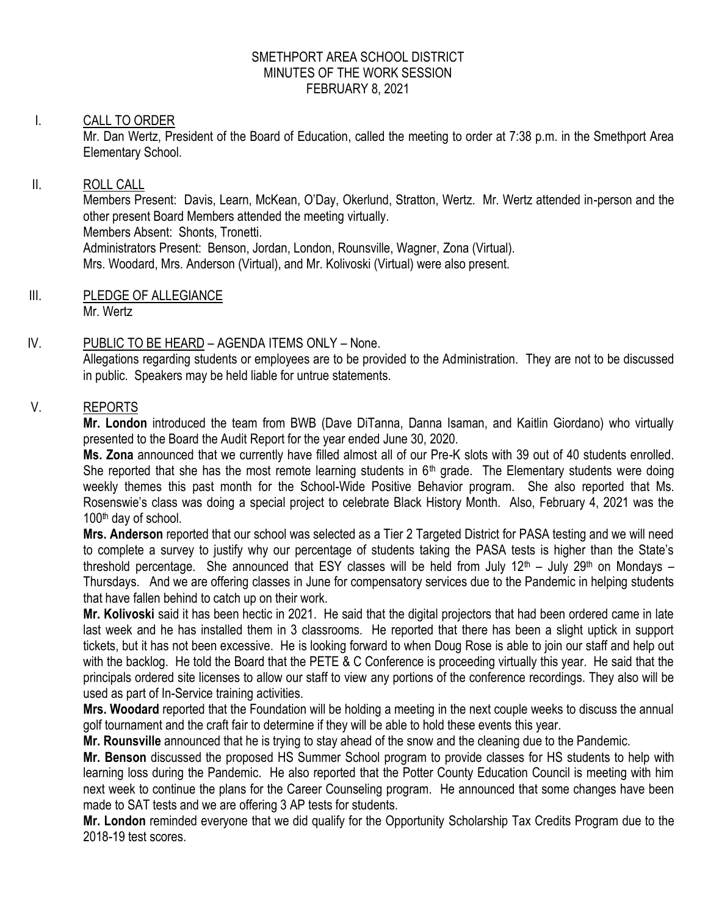#### SMETHPORT AREA SCHOOL DISTRICT MINUTES OF THE WORK SESSION FEBRUARY 8, 2021

### I. CALL TO ORDER

Mr. Dan Wertz, President of the Board of Education, called the meeting to order at 7:38 p.m. in the Smethport Area Elementary School.

#### II. ROLL CALL

Members Present: Davis, Learn, McKean, O'Day, Okerlund, Stratton, Wertz. Mr. Wertz attended in-person and the other present Board Members attended the meeting virtually. Members Absent: Shonts, Tronetti. Administrators Present: Benson, Jordan, London, Rounsville, Wagner, Zona (Virtual). Mrs. Woodard, Mrs. Anderson (Virtual), and Mr. Kolivoski (Virtual) were also present.

III. PLEDGE OF ALLEGIANCE Mr. Wertz

#### IV. PUBLIC TO BE HEARD – AGENDA ITEMS ONLY – None.

Allegations regarding students or employees are to be provided to the Administration. They are not to be discussed in public. Speakers may be held liable for untrue statements.

### V. REPORTS

**Mr. London** introduced the team from BWB (Dave DiTanna, Danna Isaman, and Kaitlin Giordano) who virtually presented to the Board the Audit Report for the year ended June 30, 2020.

**Ms. Zona** announced that we currently have filled almost all of our Pre-K slots with 39 out of 40 students enrolled. She reported that she has the most remote learning students in  $6<sup>th</sup>$  grade. The Elementary students were doing weekly themes this past month for the School-Wide Positive Behavior program. She also reported that Ms. Rosenswie's class was doing a special project to celebrate Black History Month. Also, February 4, 2021 was the 100th day of school.

**Mrs. Anderson** reported that our school was selected as a Tier 2 Targeted District for PASA testing and we will need to complete a survey to justify why our percentage of students taking the PASA tests is higher than the State's threshold percentage. She announced that ESY classes will be held from July 12<sup>th</sup> – July 29<sup>th</sup> on Mondays – Thursdays. And we are offering classes in June for compensatory services due to the Pandemic in helping students that have fallen behind to catch up on their work.

**Mr. Kolivoski** said it has been hectic in 2021. He said that the digital projectors that had been ordered came in late last week and he has installed them in 3 classrooms. He reported that there has been a slight uptick in support tickets, but it has not been excessive. He is looking forward to when Doug Rose is able to join our staff and help out with the backlog. He told the Board that the PETE & C Conference is proceeding virtually this year. He said that the principals ordered site licenses to allow our staff to view any portions of the conference recordings. They also will be used as part of In-Service training activities.

**Mrs. Woodard** reported that the Foundation will be holding a meeting in the next couple weeks to discuss the annual golf tournament and the craft fair to determine if they will be able to hold these events this year.

**Mr. Rounsville** announced that he is trying to stay ahead of the snow and the cleaning due to the Pandemic.

**Mr. Benson** discussed the proposed HS Summer School program to provide classes for HS students to help with learning loss during the Pandemic. He also reported that the Potter County Education Council is meeting with him next week to continue the plans for the Career Counseling program. He announced that some changes have been made to SAT tests and we are offering 3 AP tests for students.

**Mr. London** reminded everyone that we did qualify for the Opportunity Scholarship Tax Credits Program due to the 2018-19 test scores.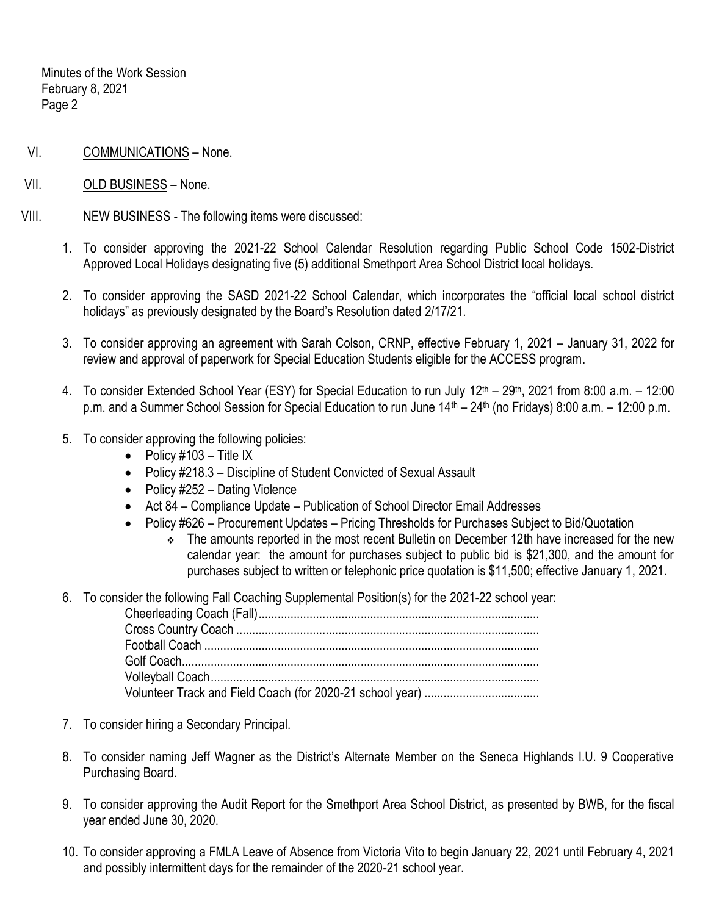Minutes of the Work Session February 8, 2021 Page 2

- VI. COMMUNICATIONS None.
- VII. OLD BUSINESS None.
- VIII. NEW BUSINESS The following items were discussed:
	- 1. To consider approving the 2021-22 School Calendar Resolution regarding Public School Code 1502-District Approved Local Holidays designating five (5) additional Smethport Area School District local holidays.
	- 2. To consider approving the SASD 2021-22 School Calendar, which incorporates the "official local school district holidays" as previously designated by the Board's Resolution dated 2/17/21.
	- 3. To consider approving an agreement with Sarah Colson, CRNP, effective February 1, 2021 January 31, 2022 for review and approval of paperwork for Special Education Students eligible for the ACCESS program.
	- 4. To consider Extended School Year (ESY) for Special Education to run July 12<sup>th</sup> 29<sup>th</sup>, 2021 from 8:00 a.m. 12:00 p.m. and a Summer School Session for Special Education to run June 14<sup>th</sup> – 24<sup>th</sup> (no Fridays) 8:00 a.m. – 12:00 p.m.
	- 5. To consider approving the following policies:
		- $\bullet$  Policy #103 Title IX
		- Policy #218.3 Discipline of Student Convicted of Sexual Assault
		- Policy #252 Dating Violence
		- Act 84 Compliance Update Publication of School Director Email Addresses
		- Policy #626 Procurement Updates Pricing Thresholds for Purchases Subject to Bid/Quotation
			- \* The amounts reported in the most recent Bulletin on December 12th have increased for the new calendar year: the amount for purchases subject to public bid is \$21,300, and the amount for purchases subject to written or telephonic price quotation is \$11,500; effective January 1, 2021.
	- 6. To consider the following Fall Coaching Supplemental Position(s) for the 2021-22 school year:

- 7. To consider hiring a Secondary Principal.
- 8. To consider naming Jeff Wagner as the District's Alternate Member on the Seneca Highlands I.U. 9 Cooperative Purchasing Board.
- 9. To consider approving the Audit Report for the Smethport Area School District, as presented by BWB, for the fiscal year ended June 30, 2020.
- 10. To consider approving a FMLA Leave of Absence from Victoria Vito to begin January 22, 2021 until February 4, 2021 and possibly intermittent days for the remainder of the 2020-21 school year.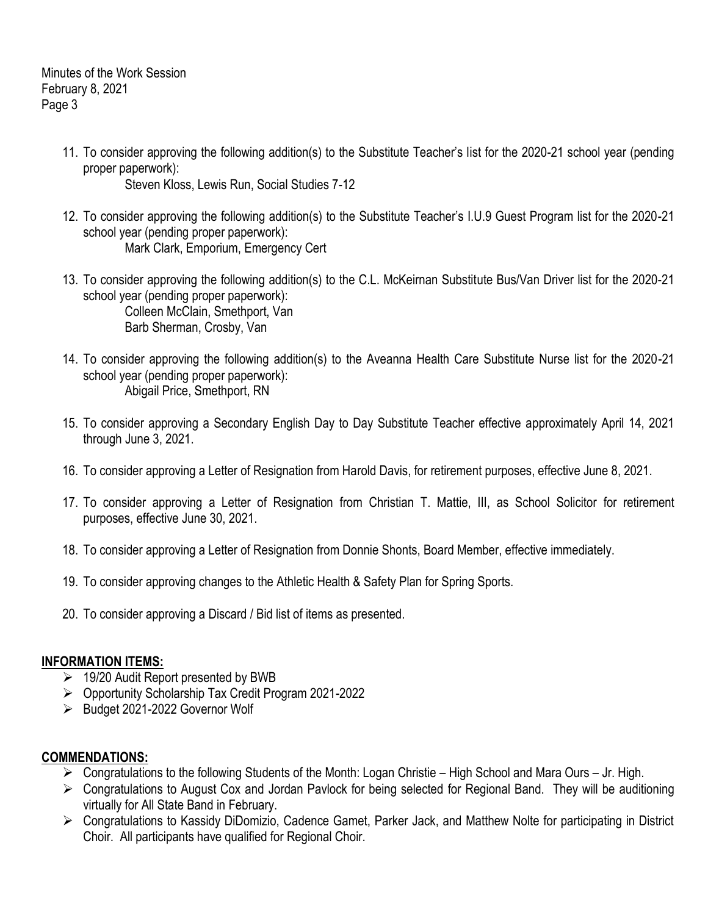Minutes of the Work Session February 8, 2021 Page 3

- 11. To consider approving the following addition(s) to the Substitute Teacher's list for the 2020-21 school year (pending proper paperwork): Steven Kloss, Lewis Run, Social Studies 7-12
- 12. To consider approving the following addition(s) to the Substitute Teacher's I.U.9 Guest Program list for the 2020-21 school year (pending proper paperwork): Mark Clark, Emporium, Emergency Cert
- 13. To consider approving the following addition(s) to the C.L. McKeirnan Substitute Bus/Van Driver list for the 2020-21 school year (pending proper paperwork): Colleen McClain, Smethport, Van Barb Sherman, Crosby, Van
- 14. To consider approving the following addition(s) to the Aveanna Health Care Substitute Nurse list for the 2020-21 school year (pending proper paperwork): Abigail Price, Smethport, RN
- 15. To consider approving a Secondary English Day to Day Substitute Teacher effective approximately April 14, 2021 through June 3, 2021.
- 16. To consider approving a Letter of Resignation from Harold Davis, for retirement purposes, effective June 8, 2021.
- 17. To consider approving a Letter of Resignation from Christian T. Mattie, III, as School Solicitor for retirement purposes, effective June 30, 2021.
- 18. To consider approving a Letter of Resignation from Donnie Shonts, Board Member, effective immediately.
- 19. To consider approving changes to the Athletic Health & Safety Plan for Spring Sports.
- 20. To consider approving a Discard / Bid list of items as presented.

## **INFORMATION ITEMS:**

- $\geq$  19/20 Audit Report presented by BWB
- Opportunity Scholarship Tax Credit Program 2021-2022
- $\triangleright$  Budget 2021-2022 Governor Wolf

## **COMMENDATIONS:**

- $\triangleright$  Congratulations to the following Students of the Month: Logan Christie High School and Mara Ours Jr. High.
- Congratulations to August Cox and Jordan Pavlock for being selected for Regional Band. They will be auditioning virtually for All State Band in February.
- Congratulations to Kassidy DiDomizio, Cadence Gamet, Parker Jack, and Matthew Nolte for participating in District Choir. All participants have qualified for Regional Choir.